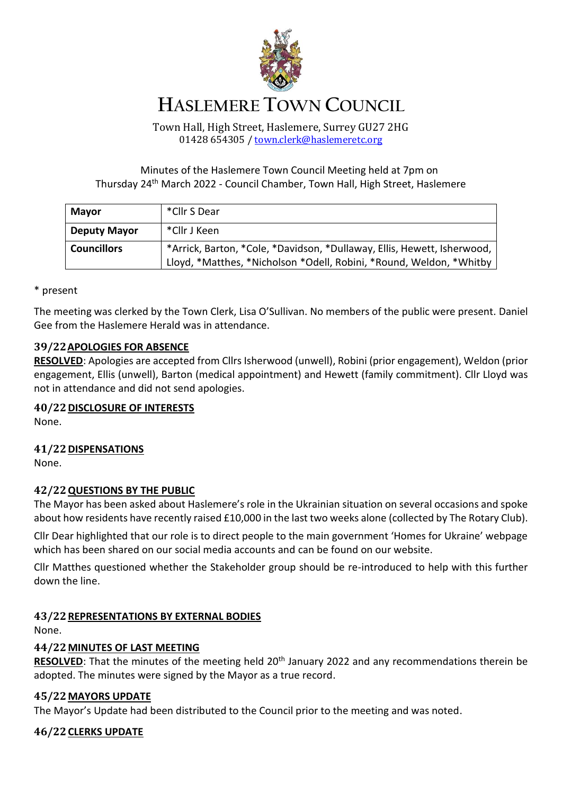

# **HASLEMERE TOWN COUNCIL**

Town Hall, High Street, Haslemere, Surrey GU27 2HG 01428 654305 / [town.clerk@haslemeretc.org](mailto:town.clerk@haslemeretc.org)

Minutes of the Haslemere Town Council Meeting held at 7pm on Thursday 24<sup>th</sup> March 2022 - Council Chamber, Town Hall, High Street, Haslemere

| <b>Mayor</b>        | *Cllr S Dear                                                            |
|---------------------|-------------------------------------------------------------------------|
| <b>Deputy Mayor</b> | *Cllr J Keen                                                            |
| <b>Councillors</b>  | *Arrick, Barton, *Cole, *Davidson, *Dullaway, Ellis, Hewett, Isherwood, |
|                     | Lloyd, *Matthes, *Nicholson *Odell, Robini, *Round, Weldon, *Whitby     |

\* present

The meeting was clerked by the Town Clerk, Lisa O'Sullivan. No members of the public were present. Daniel Gee from the Haslemere Herald was in attendance.

## **39/22APOLOGIES FOR ABSENCE**

**RESOLVED**: Apologies are accepted from Cllrs Isherwood (unwell), Robini (prior engagement), Weldon (prior engagement, Ellis (unwell), Barton (medical appointment) and Hewett (family commitment). Cllr Lloyd was not in attendance and did not send apologies.

#### **40/22DISCLOSURE OF INTERESTS**

None.

## **41/22DISPENSATIONS**

None.

## **42/22QUESTIONS BY THE PUBLIC**

The Mayor has been asked about Haslemere's role in the Ukrainian situation on several occasions and spoke about how residents have recently raised £10,000 in the last two weeks alone (collected by The Rotary Club).

Cllr Dear highlighted that our role is to direct people to the main government 'Homes for Ukraine' webpage which has been shared on our social media accounts and can be found on our website.

Cllr Matthes questioned whether the Stakeholder group should be re-introduced to help with this further down the line.

#### **43/22REPRESENTATIONS BY EXTERNAL BODIES**

None.

#### **44/22MINUTES OF LAST MEETING**

**RESOLVED**: That the minutes of the meeting held 20<sup>th</sup> January 2022 and any recommendations therein be adopted. The minutes were signed by the Mayor as a true record.

#### **45/22MAYORS UPDATE**

The Mayor's Update had been distributed to the Council prior to the meeting and was noted.

## **46/22CLERKS UPDATE**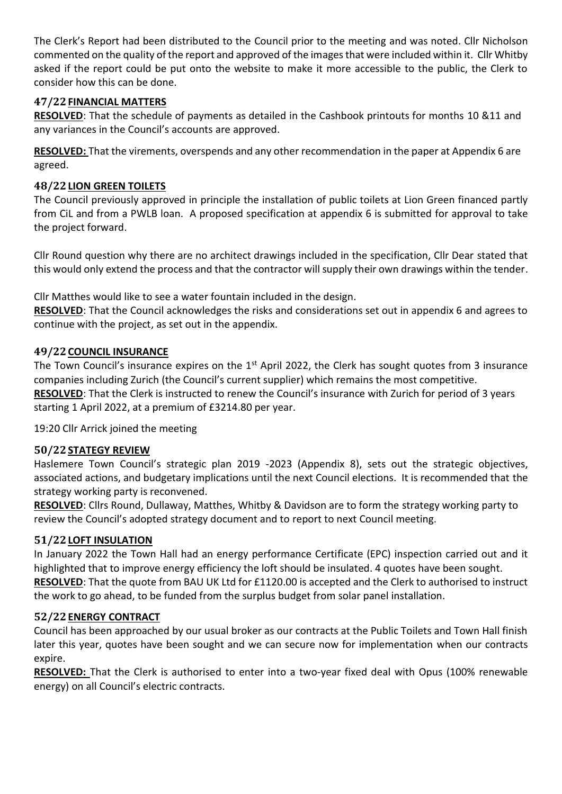The Clerk's Report had been distributed to the Council prior to the meeting and was noted. Cllr Nicholson commented on the quality of the report and approved of the images that were included within it. Cllr Whitby asked if the report could be put onto the website to make it more accessible to the public, the Clerk to consider how this can be done.

## **47/22FINANCIAL MATTERS**

**RESOLVED**: That the schedule of payments as detailed in the Cashbook printouts for months 10 &11 and any variances in the Council's accounts are approved.

**RESOLVED:** That the virements, overspends and any other recommendation in the paper at Appendix 6 are agreed.

### **48/22LION GREEN TOILETS**

The Council previously approved in principle the installation of public toilets at Lion Green financed partly from CiL and from a PWLB loan. A proposed specification at appendix 6 is submitted for approval to take the project forward.

Cllr Round question why there are no architect drawings included in the specification, Cllr Dear stated that this would only extend the process and that the contractor will supply their own drawings within the tender.

Cllr Matthes would like to see a water fountain included in the design.

**RESOLVED**: That the Council acknowledges the risks and considerations set out in appendix 6 and agrees to continue with the project, as set out in the appendix.

## **49/22COUNCIL INSURANCE**

The Town Council's insurance expires on the 1<sup>st</sup> April 2022, the Clerk has sought quotes from 3 insurance companies including Zurich (the Council's current supplier) which remains the most competitive. **RESOLVED**: That the Clerk is instructed to renew the Council's insurance with Zurich for period of 3 years starting 1 April 2022, at a premium of £3214.80 per year.

19:20 Cllr Arrick joined the meeting

#### **50/22STATEGY REVIEW**

Haslemere Town Council's strategic plan 2019 -2023 (Appendix 8), sets out the strategic objectives, associated actions, and budgetary implications until the next Council elections. It is recommended that the strategy working party is reconvened.

**RESOLVED**: Cllrs Round, Dullaway, Matthes, Whitby & Davidson are to form the strategy working party to review the Council's adopted strategy document and to report to next Council meeting.

#### **51/22LOFT INSULATION**

In January 2022 the Town Hall had an energy performance Certificate (EPC) inspection carried out and it highlighted that to improve energy efficiency the loft should be insulated. 4 quotes have been sought. **RESOLVED**: That the quote from BAU UK Ltd for £1120.00 is accepted and the Clerk to authorised to instruct the work to go ahead, to be funded from the surplus budget from solar panel installation.

#### **52/22ENERGY CONTRACT**

Council has been approached by our usual broker as our contracts at the Public Toilets and Town Hall finish later this year, quotes have been sought and we can secure now for implementation when our contracts expire.

**RESOLVED:** That the Clerk is authorised to enter into a two-year fixed deal with Opus (100% renewable energy) on all Council's electric contracts.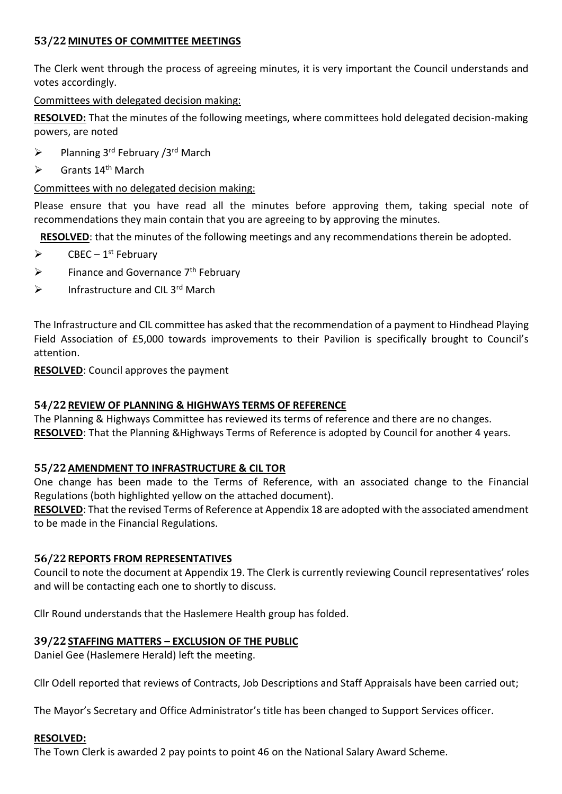## **53/22MINUTES OF COMMITTEE MEETINGS**

The Clerk went through the process of agreeing minutes, it is very important the Council understands and votes accordingly.

#### Committees with delegated decision making:

**RESOLVED:** That the minutes of the following meetings, where committees hold delegated decision-making powers, are noted

- $\triangleright$  Planning 3<sup>rd</sup> February /3<sup>rd</sup> March
- $\triangleright$  Grants 14<sup>th</sup> March

## Committees with no delegated decision making:

Please ensure that you have read all the minutes before approving them, taking special note of recommendations they main contain that you are agreeing to by approving the minutes.

**RESOLVED**: that the minutes of the following meetings and any recommendations therein be adopted.

- $\triangleright$  CBEC 1<sup>st</sup> February
- $\triangleright$  Finance and Governance 7<sup>th</sup> February
- $\triangleright$  Infrastructure and CIL 3rd March

The Infrastructure and CIL committee has asked that the recommendation of a payment to Hindhead Playing Field Association of £5,000 towards improvements to their Pavilion is specifically brought to Council's attention.

**RESOLVED**: Council approves the payment

#### **54/22REVIEW OF PLANNING & HIGHWAYS TERMS OF REFERENCE**

The Planning & Highways Committee has reviewed its terms of reference and there are no changes. **RESOLVED**: That the Planning &Highways Terms of Reference is adopted by Council for another 4 years.

## **55/22AMENDMENT TO INFRASTRUCTURE & CIL TOR**

One change has been made to the Terms of Reference, with an associated change to the Financial Regulations (both highlighted yellow on the attached document).

**RESOLVED**: That the revised Terms of Reference at Appendix 18 are adopted with the associated amendment to be made in the Financial Regulations.

#### **56/22REPORTS FROM REPRESENTATIVES**

Council to note the document at Appendix 19. The Clerk is currently reviewing Council representatives' roles and will be contacting each one to shortly to discuss.

Cllr Round understands that the Haslemere Health group has folded.

#### **39/22STAFFING MATTERS – EXCLUSION OF THE PUBLIC**

Daniel Gee (Haslemere Herald) left the meeting.

Cllr Odell reported that reviews of Contracts, Job Descriptions and Staff Appraisals have been carried out;

The Mayor's Secretary and Office Administrator's title has been changed to Support Services officer.

#### **RESOLVED:**

The Town Clerk is awarded 2 pay points to point 46 on the National Salary Award Scheme.